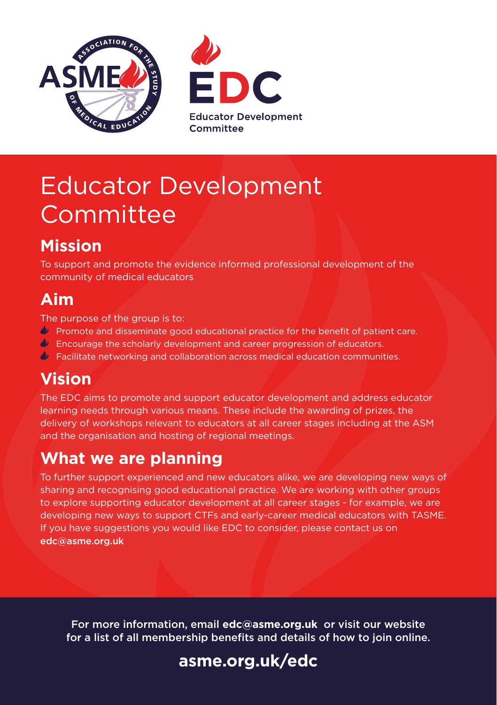



# Educator Development Committee

# **Mission**

To support and promote the evidence informed professional development of the community of medical educators

### **Aim**

The purpose of the group is to:

- **Promote and disseminate good educational practice for the benefit of patient care.**
- $\triangleleft$  Encourage the scholarly development and career progression of educators.
- $\blacklozenge$  Facilitate networking and collaboration across medical education communities.

### **Vision**

The EDC aims to promote and support educator development and address educator learning needs through various means. These include the awarding of prizes, the delivery of workshops relevant to educators at all career stages including at the ASM and the organisation and hosting of regional meetings.

### **What we are planning**

To further support experienced and new educators alike, we are developing new ways of sharing and recognising good educational practice. We are working with other groups to explore supporting educator development at all career stages - for example, we are developing new ways to support CTFs and early-career medical educators with TASME. If you have suggestions you would like EDC to consider, please contact us on edc@asme.org.uk

For more information, email **edc@asme.org.uk** or visit our website for a list of all membership benefits and details of how to join online.

## **[asme.org.uk/edc](www.asme.org.uk/edc)**